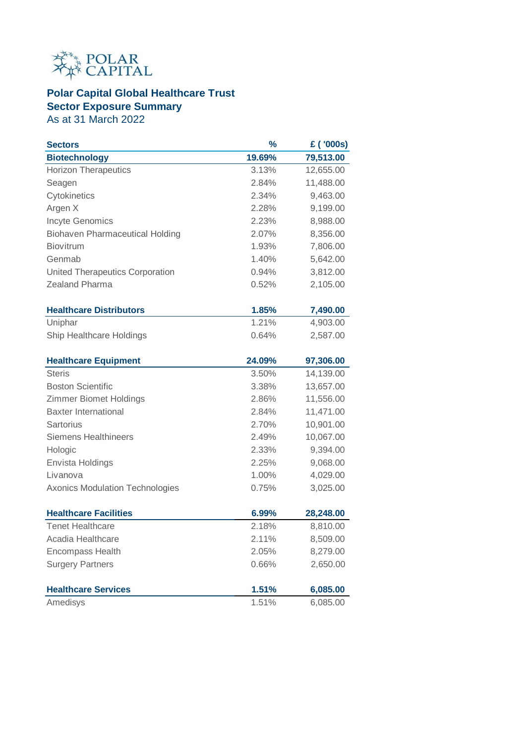

## **Polar Capital Global Healthcare Trust Sector Exposure Summary**

As at 31 March 2022

| <b>Sectors</b>                         | $\frac{9}{6}$ | £ ('000s) |
|----------------------------------------|---------------|-----------|
| <b>Biotechnology</b>                   | 19.69%        | 79,513.00 |
| <b>Horizon Therapeutics</b>            | 3.13%         | 12,655.00 |
| Seagen                                 | 2.84%         | 11,488.00 |
| Cytokinetics                           | 2.34%         | 9,463.00  |
| Argen X                                | 2.28%         | 9,199.00  |
| Incyte Genomics                        | 2.23%         | 8,988.00  |
| <b>Biohaven Pharmaceutical Holding</b> | 2.07%         | 8,356.00  |
| <b>Biovitrum</b>                       | 1.93%         | 7,806.00  |
| Genmab                                 | 1.40%         | 5,642.00  |
| <b>United Therapeutics Corporation</b> | 0.94%         | 3,812.00  |
| Zealand Pharma                         | 0.52%         | 2,105.00  |
| <b>Healthcare Distributors</b>         | 1.85%         | 7,490.00  |
| Uniphar                                | 1.21%         | 4,903.00  |
| Ship Healthcare Holdings               | 0.64%         | 2,587.00  |
| <b>Healthcare Equipment</b>            | 24.09%        | 97,306.00 |
| <b>Steris</b>                          | 3.50%         | 14,139.00 |
| <b>Boston Scientific</b>               | 3.38%         | 13,657.00 |
| <b>Zimmer Biomet Holdings</b>          | 2.86%         | 11,556.00 |
| <b>Baxter International</b>            | 2.84%         | 11,471.00 |
| Sartorius                              | 2.70%         | 10,901.00 |
| <b>Siemens Healthineers</b>            | 2.49%         | 10,067.00 |
| Hologic                                | 2.33%         | 9,394.00  |
| Envista Holdings                       | 2.25%         | 9,068.00  |
| Livanova                               | 1.00%         | 4,029.00  |
| <b>Axonics Modulation Technologies</b> | 0.75%         | 3,025.00  |
| <b>Healthcare Facilities</b>           | 6.99%         | 28,248.00 |
| <b>Tenet Healthcare</b>                | 2.18%         | 8,810.00  |
| Acadia Healthcare                      | 2.11%         | 8,509.00  |
| <b>Encompass Health</b>                | 2.05%         | 8,279.00  |
| <b>Surgery Partners</b>                | 0.66%         | 2,650.00  |
| <b>Healthcare Services</b>             | 1.51%         | 6,085.00  |
| Amedisys                               | 1.51%         | 6,085.00  |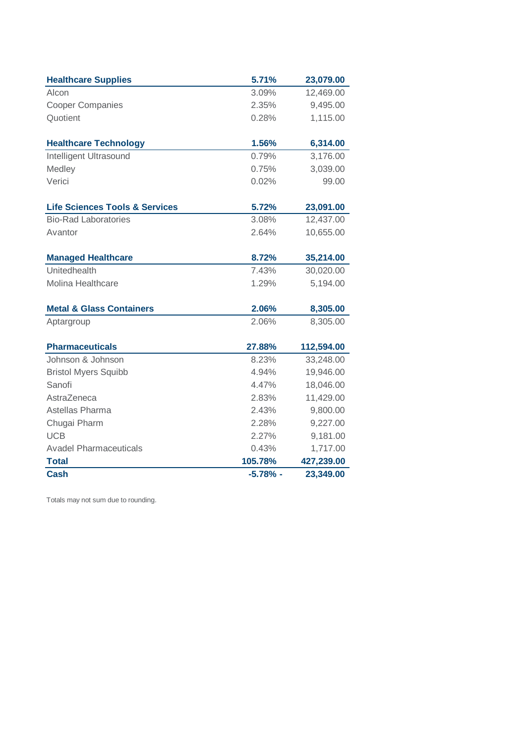| <b>Healthcare Supplies</b>                | 5.71%      | 23,079.00  |
|-------------------------------------------|------------|------------|
| Alcon                                     | 3.09%      | 12,469.00  |
| <b>Cooper Companies</b>                   | 2.35%      | 9,495.00   |
| Quotient                                  | 0.28%      | 1,115.00   |
|                                           |            |            |
| <b>Healthcare Technology</b>              | 1.56%      | 6,314.00   |
| Intelligent Ultrasound                    | 0.79%      | 3,176.00   |
| Medley                                    | 0.75%      | 3,039.00   |
| Verici                                    | 0.02%      | 99.00      |
| <b>Life Sciences Tools &amp; Services</b> | 5.72%      | 23,091.00  |
| <b>Bio-Rad Laboratories</b>               | 3.08%      | 12,437.00  |
| Avantor                                   | 2.64%      | 10,655.00  |
| <b>Managed Healthcare</b>                 | 8.72%      | 35,214.00  |
| Unitedhealth                              | 7.43%      | 30,020.00  |
| Molina Healthcare                         | 1.29%      | 5,194.00   |
| <b>Metal &amp; Glass Containers</b>       | 2.06%      | 8,305.00   |
| Aptargroup                                | 2.06%      | 8,305.00   |
| <b>Pharmaceuticals</b>                    | 27.88%     | 112,594.00 |
| Johnson & Johnson                         | 8.23%      | 33,248.00  |
| <b>Bristol Myers Squibb</b>               | 4.94%      | 19,946.00  |
| Sanofi                                    | 4.47%      | 18,046.00  |
| AstraZeneca                               | 2.83%      | 11,429.00  |
| Astellas Pharma                           | 2.43%      | 9,800.00   |
| Chugai Pharm                              | 2.28%      | 9,227.00   |
| <b>UCB</b>                                | 2.27%      | 9,181.00   |
| <b>Avadel Pharmaceuticals</b>             | 0.43%      | 1,717.00   |
| <b>Total</b>                              | 105.78%    | 427,239.00 |
| <b>Cash</b>                               | $-5.78%$ - | 23,349.00  |

Totals may not sum due to rounding.